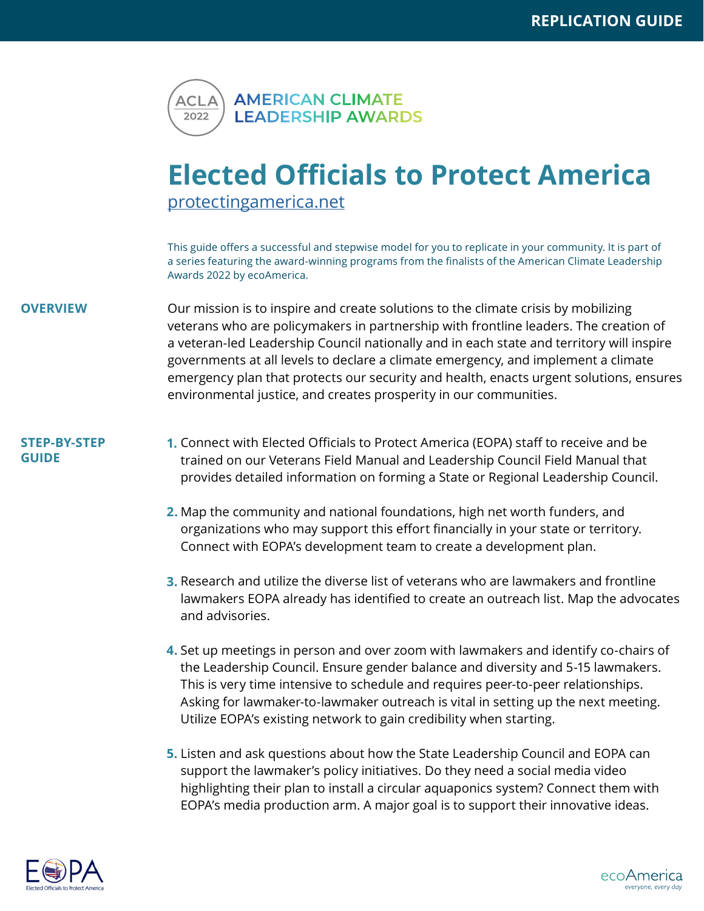

## **Elected Officials to Protect America** <protectingamerica.net>

This guide offers a successful and stepwise model for you to replicate in your community. It is part of a series featuring the award-winning programs from the finalists of the American Climate Leadership Awards 2022 by ecoAmerica.

**OVERVIEW** Our mission is to inspire and create solutions to the climate crisis by mobilizing veterans who are policymakers in partnership with frontline leaders. The creation of a veteran-led Leadership Council nationally and in each state and territory will inspire governments at all levels to declare a climate emergency, and implement a climate emergency plan that protects our security and health, enacts urgent solutions, ensures environmental justice, and creates prosperity in our communities.

## **STEP-BY-STEP GUIDE**

- Connect with Elected Officials to Protect America (EOPA) staff to receive and be **1.** trained on our Veterans Field Manual and Leadership Council Field Manual that provides detailed information on forming a State or Regional Leadership Council.
	- Map the community and national foundations, high net worth funders, and **2.** organizations who may support this effort financially in your state or territory. Connect with EOPA's development team to create a development plan.
	- Research and utilize the diverse list of veterans who are lawmakers and frontline **3.**lawmakers EOPA already has identified to create an outreach list. Map the advocates and advisories.
	- 4. Set up meetings in person and over zoom with lawmakers and identify co-chairs of the Leadership Council. Ensure gender balance and diversity and 5-15 lawmakers. This is very time intensive to schedule and requires peer-to-peer relationships. Asking for lawmaker-to-lawmaker outreach is vital in setting up the next meeting. Utilize EOPA's existing network to gain credibility when starting.
	- **5.** Listen and ask questions about how the State Leadership Council and EOPA can support the lawmaker's policy initiatives. Do they need a social media video highlighting their plan to install a circular aquaponics system? Connect them with EOPA's media production arm. A major goal is to support their innovative ideas.